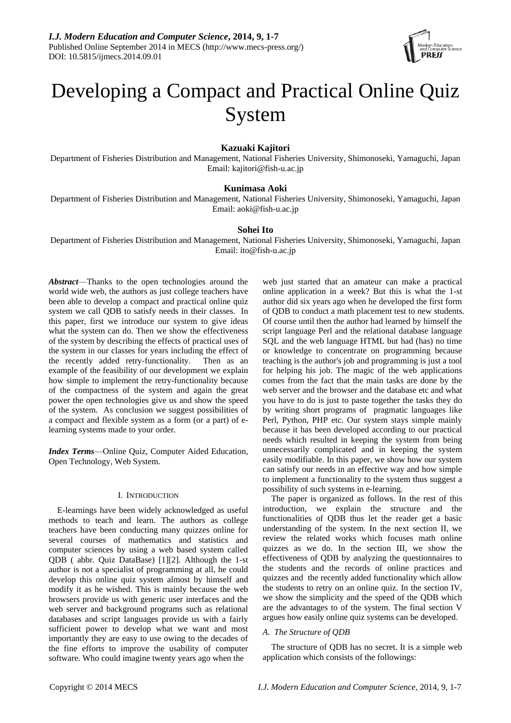

# Developing a Compact and Practical Online Quiz System

# **Kazuaki Kajitori**

Department of Fisheries Distribution and Management, National Fisheries University, Shimonoseki, Yamaguchi, Japan Email: kajitori@fish-u.ac.jp

# **Kunimasa Aoki**

Department of Fisheries Distribution and Management, National Fisheries University, Shimonoseki, Yamaguchi, Japan Email: aoki@fish-u.ac.jp

# **Sohei Ito**

Department of Fisheries Distribution and Management, National Fisheries University, Shimonoseki, Yamaguchi, Japan Email: ito@fish-u.ac.jp

*Abstract*—Thanks to the open technologies around the world wide web, the authors as just college teachers have been able to develop a compact and practical online quiz system we call QDB to satisfy needs in their classes. In this paper, first we introduce our system to give ideas what the system can do. Then we show the effectiveness of the system by describing the effects of practical uses of the system in our classes for years including the effect of the recently added retry-functionality. Then as an example of the feasibility of our development we explain how simple to implement the retry-functionality because of the compactness of the system and again the great power the open technologies give us and show the speed of the system. As conclusion we suggest possibilities of a compact and flexible system as a form (or a part) of elearning systems made to your order.

*Index Terms*—Online Quiz, Computer Aided Education, Open Technology, Web System.

#### I. INTRODUCTION

E-learnings have been widely acknowledged as useful methods to teach and learn. The authors as college teachers have been conducting many quizzes online for several courses of mathematics and statistics and computer sciences by using a web based system called QDB ( abbr. Quiz DataBase) [1][2]. Although the 1-st author is not a specialist of programming at all, he could develop this online quiz system almost by himself and modify it as he wished. This is mainly because the web browsers provide us with generic user interfaces and the web server and background programs such as relational databases and script languages provide us with a fairly sufficient power to develop what we want and most importantly they are easy to use owing to the decades of the fine efforts to improve the usability of computer software. Who could imagine twenty years ago when the

web just started that an amateur can make a practical online application in a week? But this is what the 1-st author did six years ago when he developed the first form of QDB to conduct a math placement test to new students. Of course until then the author had learned by himself the script language Perl and the relational database language SQL and the web language HTML but had (has) no time or knowledge to concentrate on programming because teaching is the author's job and programming is just a tool for helping his job. The magic of the web applications comes from the fact that the main tasks are done by the web server and the browser and the database etc and what you have to do is just to paste together the tasks they do by writing short programs of pragmatic languages like Perl, Python, PHP etc. Our system stays simple mainly because it has been developed according to our practical needs which resulted in keeping the system from being unnecessarily complicated and in keeping the system easily modifiable. In this paper, we show how our system can satisfy our needs in an effective way and how simple to implement a functionality to the system thus suggest a possibility of such systems in e-learning.

The paper is organized as follows. In the rest of this introduction, we explain the structure and the functionalities of QDB thus let the reader get a basic understanding of the system. In the next section II, we review the related works which focuses math online quizzes as we do. In the section III, we show the effectiveness of QDB by analyzing the questionnaires to the students and the records of online practices and quizzes and the recently added functionality which allow the students to retry on an online quiz. In the section IV, we show the simplicity and the speed of the QDB which are the advantages to of the system. The final section V argues how easily online quiz systems can be developed.

## *A. The Structure of QDB*

The structure of QDB has no secret. It is a simple web application which consists of the followings: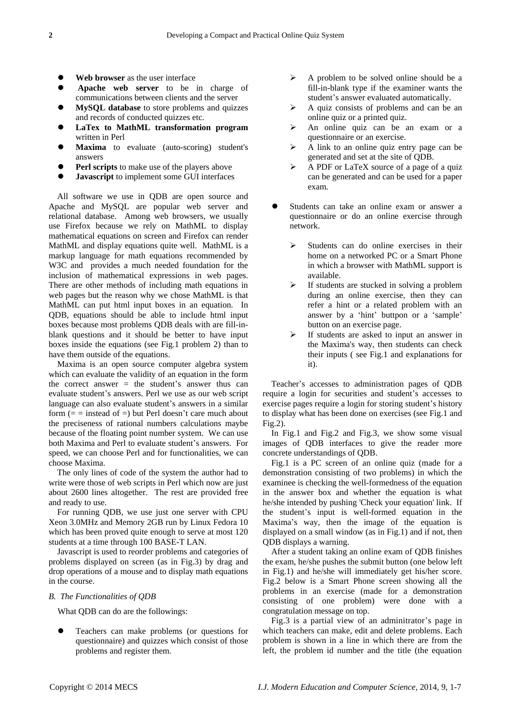- **Web browser** as the user interface
- **Apache web server** to be in charge of communications between clients and the server
- **MySQL database** to store problems and quizzes and records of conducted quizzes etc.
- **LaTex to MathML transformation program**  written in Perl
- **Maxima** to evaluate (auto-scoring) student's answers
- **Perl scripts** to make use of the players above
- **Javascript** to implement some GUI interfaces

All software we use in QDB are open source and Apache and MySQL are popular web server and relational database. Among web browsers, we usually use Firefox because we rely on MathML to display mathematical equations on screen and Firefox can render MathML and display equations quite well. MathML is a markup language for math equations recommended by W3C and provides a much needed foundation for the inclusion of mathematical expressions in web pages. There are other methods of including math equations in web pages but the reason why we chose MathML is that MathML can put html input boxes in an equation. In QDB, equations should be able to include html input boxes because most problems QDB deals with are fill-inblank questions and it should be better to have input boxes inside the equations (see Fig.1 problem 2) than to have them outside of the equations.

Maxima is an open source computer algebra system which can evaluate the validity of an equation in the form the correct answer  $=$  the student's answer thus can evaluate student's answers. Perl we use as our web script language can also evaluate student's answers in a similar form  $(=$  = instead of =) but Perl doesn't care much about the preciseness of rational numbers calculations maybe because of the floating point number system. We can use both Maxima and Perl to evaluate student's answers. For speed, we can choose Perl and for functionalities, we can choose Maxima.

The only lines of code of the system the author had to write were those of web scripts in Perl which now are just about 2600 lines altogether. The rest are provided free and ready to use.

For running QDB, we use just one server with CPU Xeon 3.0MHz and Memory 2GB run by Linux Fedora 10 which has been proved quite enough to serve at most 120 students at a time through 100 BASE-T LAN.

Javascript is used to reorder problems and categories of problems displayed on screen (as in Fig.3) by drag and drop operations of a mouse and to display math equations in the course.

## *B. The Functionalities of QDB*

What QDB can do are the followings:

 Teachers can make problems (or questions for questionnaire) and quizzes which consist of those problems and register them.

- $\triangleright$  A problem to be solved online should be a fill-in-blank type if the examiner wants the student's answer evaluated automatically.
- $\triangleright$  A quiz consists of problems and can be an online quiz or a printed quiz.
- $\triangleright$  An online quiz can be an exam or a questionnaire or an exercise.
- $\triangleright$  A link to an online quiz entry page can be generated and set at the site of QDB.
- $\triangleright$  A PDF or LaTeX source of a page of a quiz can be generated and can be used for a paper exam.
- Students can take an online exam or answer a questionnaire or do an online exercise through network.
	- $\triangleright$  Students can do online exercises in their home on a networked PC or a Smart Phone in which a browser with MathML support is available.
	- $\triangleright$  If students are stucked in solving a problem during an online exercise, then they can refer a hint or a related problem with an answer by a 'hint' buttpon or a 'sample' button on an exercise page.
	- $\triangleright$  If students are asked to input an answer in the Maxima's way, then students can check their inputs ( see Fig.1 and explanations for it).

Teacher's accesses to administration pages of QDB require a login for securities and student's accesses to exercise pages require a login for storing student's history to display what has been done on exercises (see Fig.1 and Fig.2).

In Fig.1 and Fig.2 and Fig.3, we show some visual images of QDB interfaces to give the reader more concrete understandings of QDB.

Fig.1 is a PC screen of an online quiz (made for a demonstration consisting of two problems) in which the examinee is checking the well-formedness of the equation in the answer box and whether the equation is what he/she intended by pushing 'Check your equation' link. If the student's input is well-formed equation in the Maxima's way, then the image of the equation is displayed on a small window (as in Fig.1) and if not, then QDB displays a warning.

After a student taking an online exam of QDB finishes the exam, he/she pushes the submit button (one below left in Fig.1) and he/she will immediately get his/her score. Fig.2 below is a Smart Phone screen showing all the problems in an exercise (made for a demonstration consisting of one problem) were done with a congratulation message on top.

Fig.3 is a partial view of an adminitrator's page in which teachers can make, edit and delete problems. Each problem is shown in a line in which there are from the left, the problem id number and the title (the equation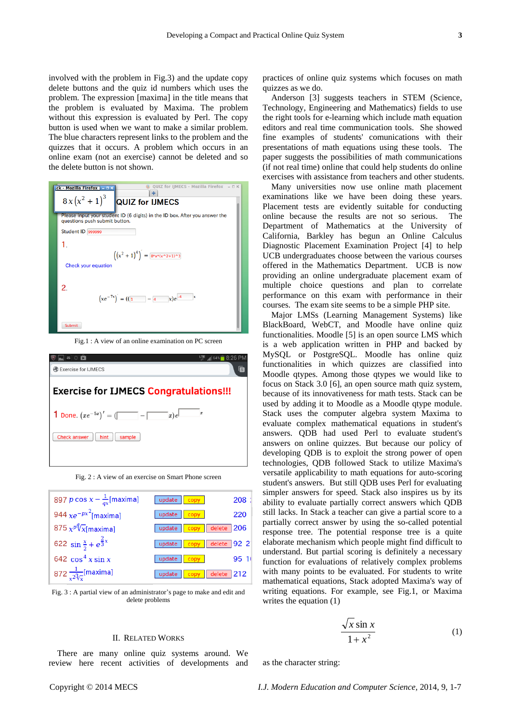involved with the problem in Fig.3) and the update copy delete buttons and the quiz id numbers which uses the problem. The expression [maxima] in the title means that the problem is evaluated by Maxima. The problem without this expression is evaluated by Perl. The copy button is used when we want to make a similar problem. The blue characters represent links to the problem and the quizzes that it occurs. A problem which occurs in an online exam (not an exercise) cannot be deleted and so the delete button is not shown.

| QUIZ for IJMECS - Mozilla Firefox $- \Box \times$<br>$ck - Mozilla Firefox - ax$                             |
|--------------------------------------------------------------------------------------------------------------|
| $8x(x^2+1)^3$ QUIZ for IJMECS                                                                                |
| Please input your student ID (6 digits) in the ID box. After you answer the<br>questions push submit button. |
| Student ID 999999                                                                                            |
| 1.                                                                                                           |
| $((x^{2}+1)^{4})^{7} = 8*x*x^{2}+10^{3}$<br>Check your equation                                              |
| 2.<br>$(xe^{-7x})^{\prime} = ((1 - 4 x)e^{-4})$                                                              |
| <b>Submit</b>                                                                                                |

Fig.1 : A view of an online examination on PC screen



Fig. 2 : A view of an exercise on Smart Phone screen



Fig. 3 : A partial view of an administrator's page to make and edit and delete problems

#### II. RELATED WORKS

There are many online quiz systems around. We review here recent activities of developments and practices of online quiz systems which focuses on math quizzes as we do.

Anderson [3] suggests teachers in STEM (Science, Technology, Engineering and Mathematics) fields to use the right tools for e-learning which include math equation editors and real time communication tools. She showed fine examples of students' comunications with their presentations of math equations using these tools. The paper suggests the possibilities of math communications (if not real time) online that could help students do online exercises with assistance from teachers and other students.

Many universities now use online math placement examinations like we have been doing these years. Placement tests are evidently suitable for conducting online because the results are not so serious. The Department of Mathematics at the University of California, Barkley has begun an Online Calculus Diagnostic Placement Examination Project [4] to help UCB undergraduates choose between the various courses offered in the Mathematics Department. UCB is now providing an online undergraduate placement exam of multiple choice questions and plan to correlate performance on this exam with performance in their courses. The exam site seems to be a simple PHP site.

Major LMSs (Learning Management Systems) like BlackBoard, WebCT, and Moodle have online quiz functionalities. Moodle [5] is an open source LMS which is a web application written in PHP and backed by MySQL or PostgreSQL. Moodle has online quiz functionalities in which quizzes are classified into Moodle qtypes. Among those qtypes we would like to focus on Stack 3.0 [6], an open source math quiz system, because of its innovativeness for math tests. Stack can be used by adding it to Moodle as a Moodle qtype module. Stack uses the computer algebra system Maxima to evaluate complex mathematical equations in student's answers. QDB had used Perl to evaluate student's answers on online quizzes. But because our policy of developing QDB is to exploit the strong power of open technologies, QDB followed Stack to utilize Maxima's versatile applicability to math equations for auto-scoring student's answers. But still QDB uses Perl for evaluating simpler answers for speed. Stack also inspires us by its ability to evaluate partially correct answers which QDB still lacks. In Stack a teacher can give a partial score to a partially correct answer by using the so-called potential response tree. The potential response tree is a quite elaborate mechanism which people might find difficult to understand. But partial scoring is definitely a necessary function for evaluations of relatively complex problems with many points to be evaluated. For students to write mathematical equations, Stack adopted Maxima's way of writing equations. For example, see Fig.1, or Maxima writes the equation (1)

$$
\frac{\sqrt{x}\sin x}{1+x^2} \tag{1}
$$

as the character string: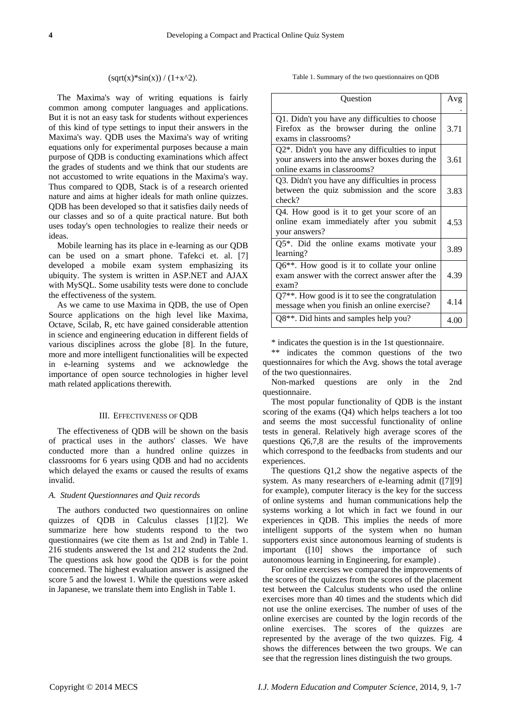#### $(sqrt(x)*sin(x)) / (1+x^2).$

The Maxima's way of writing equations is fairly common among computer languages and applications. But it is not an easy task for students without experiences of this kind of type settings to input their answers in the Maxima's way. QDB uses the Maxima's way of writing equations only for experimental purposes because a main purpose of QDB is conducting examinations which affect the grades of students and we think that our students are not accustomed to write equations in the Maxima's way. Thus compared to QDB, Stack is of a research oriented nature and aims at higher ideals for math online quizzes. QDB has been developed so that it satisfies daily needs of our classes and so of a quite practical nature. But both uses today's open technologies to realize their needs or ideas.

Mobile learning has its place in e-learning as our QDB can be used on a smart phone. Tafekci et. al. [7] developed a mobile exam system emphasizing its ubiquity. The system is written in ASP.NET and AJAX with MySQL. Some usability tests were done to conclude the effectiveness of the system.

As we came to use Maxima in QDB, the use of Open Source applications on the high level like Maxima, Octave, Scilab, R, etc have gained considerable attention in science and engineering education in different fields of various disciplines across the globe [8]. In the future, more and more intelligent functionalities will be expected in e-learning systems and we acknowledge the importance of open source technologies in higher level math related applications therewith.

#### III. EFFECTIVENESS OF QDB

The effectiveness of QDB will be shown on the basis of practical uses in the authors' classes. We have conducted more than a hundred online quizzes in classrooms for 6 years using QDB and had no accidents which delayed the exams or caused the results of exams invalid.

## *A. Student Questionnares and Quiz records*

The authors conducted two questionnaires on online quizzes of QDB in Calculus classes [1][2]. We summarize here how students respond to the two questionnaires (we cite them as 1st and 2nd) in Table 1. 216 students answered the 1st and 212 students the 2nd. The questions ask how good the QDB is for the point concerned. The highest evaluation answer is assigned the score 5 and the lowest 1. While the questions were asked in Japanese, we translate them into English in Table 1.

Table 1. Summary of the two questionnaires on QDB

| Question                                                                                                                           | Avg  |
|------------------------------------------------------------------------------------------------------------------------------------|------|
| Q1. Didn't you have any difficulties to choose<br>Firefox as the browser during the online<br>exams in classrooms?                 | 3.71 |
| $Q2^*$ . Didn't you have any difficulties to input<br>your answers into the answer boxes during the<br>online exams in classrooms? | 3.61 |
| Q3. Didn't you have any difficulties in process<br>between the quiz submission and the score<br>check?                             | 3.83 |
| Q4. How good is it to get your score of an<br>online exam immediately after you submit<br>your answers?                            | 4.53 |
| Q5*. Did the online exams motivate your<br>learning?                                                                               | 3.89 |
| Q6**. How good is it to collate your online<br>exam answer with the correct answer after the<br>exam?                              | 4.39 |
| Q7 <sup>**</sup> . How good is it to see the congratulation<br>message when you finish an online exercise?                         | 4.14 |
| Q8**. Did hints and samples help you?                                                                                              | 4.00 |

\* indicates the question is in the 1st questionnaire.

\*\* indicates the common questions of the two questionnaires for which the Avg. shows the total average of the two questionnaires.

Non-marked questions are only in the 2nd questionnaire.

The most popular functionality of QDB is the instant scoring of the exams (Q4) which helps teachers a lot too and seems the most successful functionality of online tests in general. Relatively high average scores of the questions Q6,7,8 are the results of the improvements which correspond to the feedbacks from students and our experiences.

The questions Q1,2 show the negative aspects of the system. As many researchers of e-learning admit ([7][9] for example), computer literacy is the key for the success of online systems and human communications help the systems working a lot which in fact we found in our experiences in QDB. This implies the needs of more intelligent supports of the system when no human supporters exist since autonomous learning of students is important ([10] shows the importance of such autonomous learning in Engineering, for example) .

For online exercises we compared the improvements of the scores of the quizzes from the scores of the placement test between the Calculus students who used the online exercises more than 40 times and the students which did not use the online exercises. The number of uses of the online exercises are counted by the login records of the online exercises. The scores of the quizzes are represented by the average of the two quizzes. Fig. 4 shows the differences between the two groups. We can see that the regression lines distinguish the two groups.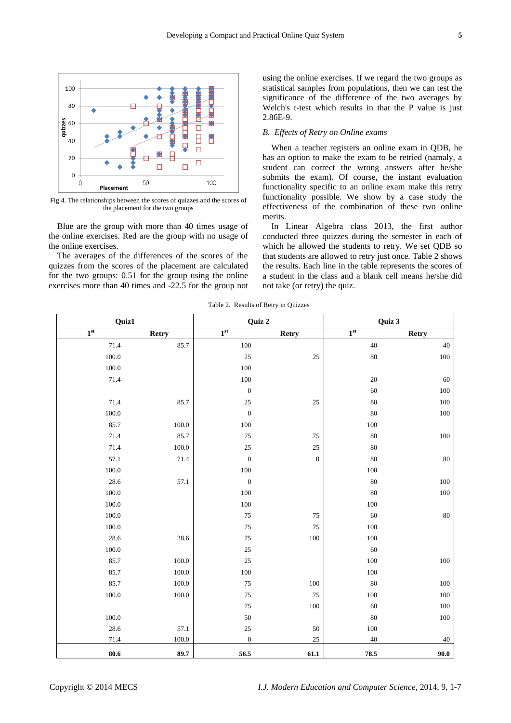

Fig 4. The relationships between the scores of quizzes and the scores of the placement for the two groups

Blue are the group with more than 40 times usage of the online exercises. Red are the group with no usage of the online exercises.

The averages of the differences of the scores of the quizzes from the scores of the placement are calculated for the two groups: 0.51 for the group using the online exercises more than 40 times and -22.5 for the group not using the online exercises. If we regard the two groups as statistical samples from populations, then we can test the significance of the difference of the two averages by Welch's t-test which results in that the P value is just 2.86E-9.

## *B. Effects of Retry on Online exams*

When a teacher registers an online exam in QDB, he has an option to make the exam to be retried (namaly, a student can correct the wrong answers after he/she submits the exam). Of course, the instant evaluation functionality specific to an online exam make this retry functionality possible. We show by a case study the effectiveness of the combination of these two online merits.

In Linear Algebra class 2013, the first author conducted three quizzes during the semester in each of which he allowed the students to retry. We set QDB so that students are allowed to retry just once. Table 2 shows the results. Each line in the table represents the scores of a student in the class and a blank cell means he/she did not take (or retry) the quiz.

Table 2. Results of Retry in Quizzes

| Quiz1           |              | Quiz 2           |              | Quiz 3          |              |
|-----------------|--------------|------------------|--------------|-----------------|--------------|
| 1 <sup>st</sup> | <b>Retry</b> | 1 <sup>st</sup>  | <b>Retry</b> | 1 <sup>st</sup> | <b>Retry</b> |
| 71.4            | 85.7         | 100              |              | 40              | 40           |
| $100.0\,$       |              | 25               | 25           | $80\,$          | $100\,$      |
| $100.0\,$       |              | 100              |              |                 |              |
| 71.4            |              | $100\,$          |              | $20\,$          | 60           |
|                 |              | $\boldsymbol{0}$ |              | 60              | 100          |
| 71.4            | 85.7         | $25\,$           | 25           | $80\,$          | 100          |
| 100.0           |              | $\boldsymbol{0}$ |              | $80\,$          | $100\,$      |
| 85.7            | $100.0\,$    | $100\,$          |              | $100\,$         |              |
| 71.4            | 85.7         | 75               | 75           | $80\,$          | $100\,$      |
| 71.4            | 100.0        | 25               | 25           | $80\,$          |              |
| 57.1            | 71.4         | $\boldsymbol{0}$ | $\mathbf{0}$ | $80\,$          | $80\,$       |
| $100.0\,$       |              | $100\,$          |              | $100\,$         |              |
| 28.6            | 57.1         | $\boldsymbol{0}$ |              | $80\,$          | 100          |
| 100.0           |              | 100              |              | $80\,$          | $100\,$      |
| 100.0           |              | 100              |              | $100\,$         |              |
| 100.0           |              | 75               | 75           | 60              | $80\,$       |
| $100.0\,$       |              | 75               | $75\,$       | $100\,$         |              |
| 28.6            | 28.6         | $75\,$           | 100          | $100\,$         |              |
| $100.0\,$       |              | $25\,$           |              | $60\,$          |              |
| 85.7            | $100.0\,$    | 25               |              | $100\,$         | $100\,$      |
| 85.7            | $100.0\,$    | 100              |              | $100\,$         |              |
| 85.7            | 100.0        | 75               | $100\,$      | $80\,$          | 100          |
| $100.0\,$       | $100.0\,$    | $75\,$           | 75           | $100\,$         | $100\,$      |
|                 |              | 75               | $100\,$      | 60              | 100          |
| $100.0\,$       |              | 50               |              | $80\,$          | $100\,$      |
| 28.6            | 57.1         | $25\,$           | $50\,$       | $100\,$         |              |
| 71.4            | 100.0        | $\boldsymbol{0}$ | 25           | $40\,$          | 40           |
| $\bf 80.6$      | 89.7         | 56.5             | 61.1         | 78.5            | 90.0         |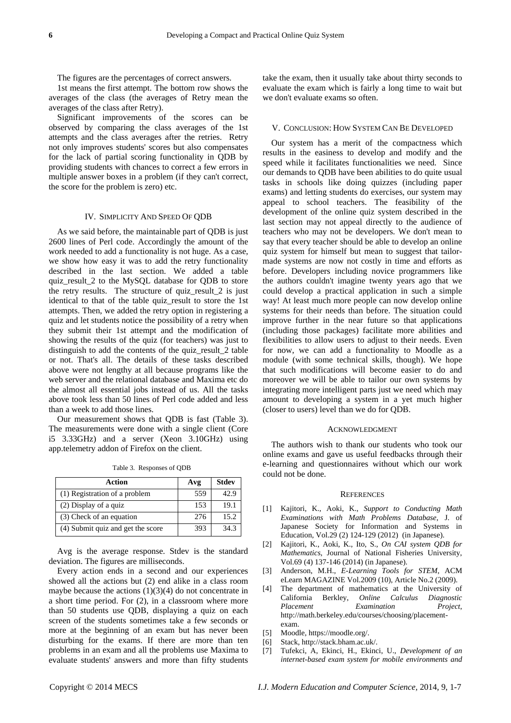### The figures are the percentages of correct answers.

1st means the first attempt. The bottom row shows the averages of the class (the averages of Retry mean the averages of the class after Retry).

Significant improvements of the scores can be observed by comparing the class averages of the 1st attempts and the class averages after the retries. Retry not only improves students' scores but also compensates for the lack of partial scoring functionality in QDB by providing students with chances to correct a few errors in multiple answer boxes in a problem (if they can't correct, the score for the problem is zero) etc.

#### IV. SIMPLICITY AND SPEED OF QDB

As we said before, the maintainable part of QDB is just 2600 lines of Perl code. Accordingly the amount of the work needed to add a functionality is not huge. As a case, we show how easy it was to add the retry functionality described in the last section. We added a table quiz\_result\_2 to the MySQL database for QDB to store the retry results. The structure of quiz\_result\_2 is just identical to that of the table quiz\_result to store the 1st attempts. Then, we added the retry option in registering a quiz and let students notice the possibility of a retry when they submit their 1st attempt and the modification of showing the results of the quiz (for teachers) was just to distinguish to add the contents of the quiz\_result\_2 table or not. That's all. The details of these tasks described above were not lengthy at all because programs like the web server and the relational database and Maxima etc do the almost all essential jobs instead of us. All the tasks above took less than 50 lines of Perl code added and less than a week to add those lines.

Our measurement shows that QDB is fast (Table 3). The measurements were done with a single client (Core i5 3.33GHz) and a server (Xeon 3.10GHz) using app.telemetry addon of Firefox on the client.

| Action                            | Avg | <b>Stdev</b> |
|-----------------------------------|-----|--------------|
| (1) Registration of a problem     | 559 | 42.9         |
| (2) Display of a quiz             | 153 | 19.1         |
| (3) Check of an equation          | 276 | 15.2         |
| (4) Submit quiz and get the score | 393 | 34.3         |

Table 3. Responses of QDB

Avg is the average response. Stdev is the standard deviation. The figures are milliseconds.

Every action ends in a second and our experiences showed all the actions but (2) end alike in a class room maybe because the actions  $(1)(3)(4)$  do not concentrate in a short time period. For (2), in a classroom where more than 50 students use QDB, displaying a quiz on each screen of the students sometimes take a few seconds or more at the beginning of an exam but has never been disturbing for the exams. If there are more than ten problems in an exam and all the problems use Maxima to evaluate students' answers and more than fifty students

take the exam, then it usually take about thirty seconds to evaluate the exam which is fairly a long time to wait but we don't evaluate exams so often.

# V. CONCLUSION: HOW SYSTEM CAN BE DEVELOPED

Our system has a merit of the compactness which results in the easiness to develop and modify and the speed while it facilitates functionalities we need. Since our demands to QDB have been abilities to do quite usual tasks in schools like doing quizzes (including paper exams) and letting students do exercises, our system may appeal to school teachers. The feasibility of the development of the online quiz system described in the last section may not appeal directly to the audience of teachers who may not be developers. We don't mean to say that every teacher should be able to develop an online quiz system for himself but mean to suggest that tailormade systems are now not costly in time and efforts as before. Developers including novice programmers like the authors couldn't imagine twenty years ago that we could develop a practical application in such a simple way! At least much more people can now develop online systems for their needs than before. The situation could improve further in the near future so that applications (including those packages) facilitate more abilities and flexibilities to allow users to adjust to their needs. Even for now, we can add a functionality to Moodle as a module (with some technical skills, though). We hope that such modifications will become easier to do and moreover we will be able to tailor our own systems by integrating more intelligent parts just we need which may amount to developing a system in a yet much higher (closer to users) level than we do for QDB.

#### ACKNOWLEDGMENT

The authors wish to thank our students who took our online exams and gave us useful feedbacks through their e-learning and questionnaires without which our work could not be done.

#### **REFERENCES**

- [1] Kajitori, K., Aoki, K., *Support to Conducting Math Examinations with Math Problems Database*, J. of Japanese Society for Information and Systems in Education, Vol.29 (2) 124-129 (2012) (in Japanese).
- [2] Kajitori, K., Aoki, K., Ito, S., *On CAI system QDB for Mathematics*, Journal of National Fisheries University, Vol.69 (4) 137-146 (2014) (in Japanese).
- [3] Anderson, M.H., *E-Learning Tools for STEM*, ACM eLearn MAGAZINE Vol.2009 (10), Article No.2 (2009).
- [4] The department of mathematics at the University of California Berkley, *Online Calculus Diagnostic Placement Examination Project*, http://math.berkeley.edu/courses/choosing/placementexam.
- [5] Moodle, https://moodle.org/.
- [6] Stack, http://stack.bham.ac.uk/.
- [7] Tufekci, A, Ekinci, H., Ekinci, U., *Development of an internet-based exam system for mobile environments and*